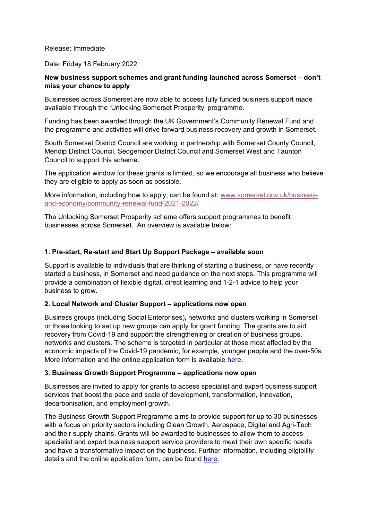### Release: Immediate

### Date: Friday 18 February 2022

# **New business support schemes and grant funding launched across Somerset – don't miss your chance to apply**

Businesses across Somerset are now able to access fully funded business support made available through the 'Unlocking Somerset Prosperity' programme.

Funding has been awarded through the UK Government's Community Renewal Fund and the programme and activities will drive forward business recovery and growth in Somerset.

South Somerset District Council are working in partnership with Somerset County Council, Mendip District Council, Sedgemoor District Council and Somerset West and Taunton Council to support this scheme.

The application window for these grants is limited, so we encourage all business who believe they are eligible to apply as soon as possible.

More information, including how to apply, can be found at: [www.somerset.gov.uk/business](http://www.somerset.gov.uk/business-and-economy/community-renewal-fund-2021-2022/)[and-economy/community-renewal-fund-2021-2022/](http://www.somerset.gov.uk/business-and-economy/community-renewal-fund-2021-2022/)

The Unlocking Somerset Prosperity scheme offers support programmes to benefit businesses across Somerset. An overview is available below:

### **1. Pre-start, Re-start and Start Up Support Package – available soon**

Support is available to individuals that are thinking of starting a business, or have recently started a business, in Somerset and need guidance on the next steps. This programme will provide a combination of flexible digital, direct learning and 1-2-1 advice to help your business to grow.

#### **2. Local Network and Cluster Support – applications now open**

Business groups (including Social Enterprises), networks and clusters working in Somerset or those looking to set up new groups can apply for grant funding. The grants are to aid recovery from Covid-19 and support the strengthening or creation of business groups, networks and clusters. The scheme is targeted in particular at those most affected by the economic impacts of the Covid-19 pandemic, for example, younger people and the over-50s. More information and the online application form is available [here.](https://somersetcc.sharepoint.com/:w:/s/SCCPublic/EaSI7mpILB9HnqaTLbrXxHoBcahEfyqvor8nDKe5701RSA?rtime=dozmqtny2Ug)

# **3. Business Growth Support Programme – applications now open**

Businesses are invited to apply for grants to access specialist and expert business support services that boost the pace and scale of development, transformation, innovation, decarbonisation, and employment growth.

The Business Growth Support Programme aims to provide support for up to 30 businesses with a focus on priority sectors including Clean Growth, Aerospace, Digital and Agri-Tech and their supply chains. Grants will be awarded to businesses to allow them to access specialist and expert business support service providers to meet their own specific needs and have a transformative impact on the business. Further information, including eligibility details and the online application form, can be found [here.](https://somersetcc.sharepoint.com/:w:/s/SCCPublic/EQGumWDlwUZBjm_rJ2UZrQkBppDQu4XEw-e5yUWd9-BXrQ?e=zboDUQ)